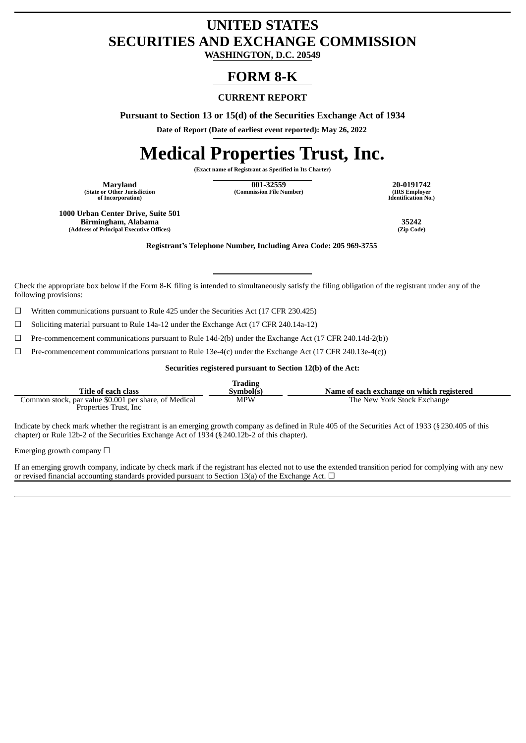# **UNITED STATES SECURITIES AND EXCHANGE COMMISSION**

**WASHINGTON, D.C. 20549**

# **FORM 8-K**

## **CURRENT REPORT**

**Pursuant to Section 13 or 15(d) of the Securities Exchange Act of 1934**

**Date of Report (Date of earliest event reported): May 26, 2022**

# **Medical Properties Trust, Inc.**

**(Exact name of Registrant as Specified in Its Charter)**

**Maryland**<br>**(State or Other Jurisdiction) of Incorporation)**

**Maryland 001-32559 20-0191742 (Commission File Number) (IRS Employer**

**Identification No.)**

**1000 Urban Center Drive, Suite 501 Birmingham, Alabama 35242 (Address of Principal Executive Offices)** 

**Registrant's Telephone Number, Including Area Code: 205 969-3755**

Check the appropriate box below if the Form 8-K filing is intended to simultaneously satisfy the filing obligation of the registrant under any of the following provisions:

 $\Box$  Written communications pursuant to Rule 425 under the Securities Act (17 CFR 230.425)

 $\Box$  Soliciting material pursuant to Rule 14a-12 under the Exchange Act (17 CFR 240.14a-12)

 $\Box$  Pre-commencement communications pursuant to Rule 14d-2(b) under the Exchange Act (17 CFR 240.14d-2(b))

 $\Box$  Pre-commencement communications pursuant to Rule 13e-4(c) under the Exchange Act (17 CFR 240.13e-4(c))

#### **Securities registered pursuant to Section 12(b) of the Act:**

| Title of each class                                                             | <b>Trading</b><br>Symbol(s) | Name of each exchange on which registered |
|---------------------------------------------------------------------------------|-----------------------------|-------------------------------------------|
| Common stock, par value \$0.001 per share, of Medical<br>Properties Trust, Inc. | <b>MPW</b>                  | The New York Stock Exchange               |

Indicate by check mark whether the registrant is an emerging growth company as defined in Rule 405 of the Securities Act of 1933 (§230.405 of this chapter) or Rule 12b-2 of the Securities Exchange Act of 1934 (§240.12b-2 of this chapter).

Emerging growth company  $\Box$ 

If an emerging growth company, indicate by check mark if the registrant has elected not to use the extended transition period for complying with any new or revised financial accounting standards provided pursuant to Section 13(a) of the Exchange Act.  $\Box$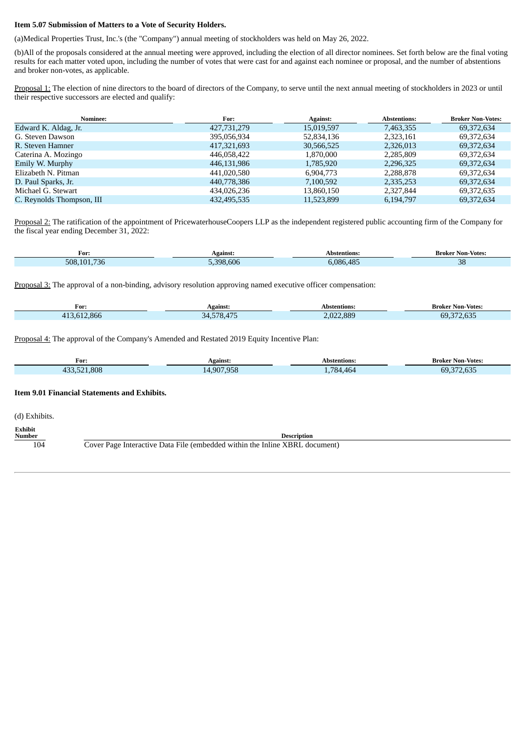#### **Item 5.07 Submission of Matters to a Vote of Security Holders.**

(a)Medical Properties Trust, Inc.'s (the "Company") annual meeting of stockholders was held on May 26, 2022.

(b)All of the proposals considered at the annual meeting were approved, including the election of all director nominees. Set forth below are the final voting results for each matter voted upon, including the number of votes that were cast for and against each nominee or proposal, and the number of abstentions and broker non-votes, as applicable.

Proposal 1: The election of nine directors to the board of directors of the Company, to serve until the next annual meeting of stockholders in 2023 or until their respective successors are elected and qualify:

| <b>Nominee:</b>           | For:        | <b>Against:</b> | <b>Abstentions:</b> | <b>Broker Non-Votes:</b> |
|---------------------------|-------------|-----------------|---------------------|--------------------------|
| Edward K. Aldag, Jr.      | 427,731,279 | 15,019,597      | 7,463,355           | 69,372,634               |
| G. Steven Dawson          | 395,056,934 | 52,834,136      | 2,323,161           | 69,372,634               |
| R. Steven Hamner          | 417,321,693 | 30,566,525      | 2,326,013           | 69,372,634               |
| Caterina A. Mozingo       | 446,058,422 | 1,870,000       | 2,285,809           | 69,372,634               |
| Emily W. Murphy           | 446,131,986 | 1,785,920       | 2,296,325           | 69,372,634               |
| Elizabeth N. Pitman       | 441,020,580 | 6.904.773       | 2,288,878           | 69.372.634               |
| D. Paul Sparks, Jr.       | 440,778,386 | 7,100,592       | 2,335,253           | 69,372,634               |
| Michael G. Stewart        | 434,026,236 | 13,860,150      | 2,327,844           | 69,372,635               |
| C. Reynolds Thompson, III | 432,495,535 | 11,523,899      | 6,194,797           | 69,372,634               |

Proposal 2: The ratification of the appointment of PricewaterhouseCoopers LLP as the independent registered public accounting firm of the Company for the fiscal year ending December 31, 2022:

| For:       | Against                   | stentions:<br>Ah                  | Votes:<br>Non<br>srokel |
|------------|---------------------------|-----------------------------------|-------------------------|
| 508<br>736 | $\sqrt{2}$<br>308<br>.bUt | A O F<br>986 <sub>4</sub><br>$ -$ | $\sim$<br>UU<br>$-$     |

Proposal 3: The approval of a non-binding, advisory resolution approving named executive officer compensation:

| For:                                | Against.                 | Abstentions: | <b>Broker Non-Votes:</b> |
|-------------------------------------|--------------------------|--------------|--------------------------|
| $\sim$ $\sim$ $\sim$<br>$\Lambda$ 1 | $\sim$ $ -$<br>-70<br>71 | 2.889<br>-02 | $\sim$<br>69.372<br>.    |

Proposal 4: The approval of the Company's Amended and Restated 2019 Equity Incentive Plan:

| For: | Against:                    | Abstentions: | <b>Broker Non-Votes:</b>                                    |
|------|-----------------------------|--------------|-------------------------------------------------------------|
| 808  | 2.958<br>.907<br><u>і Д</u> | 464<br>781.  | $\sim$ $\sim$ $\sim$<br>69<br>$\sim$ $\sim$ $\sim$<br>- 000 |

#### **Item 9.01 Financial Statements and Exhibits.**

(d) Exhibits.

Г

**Exhibit Description** 104 Cover Page Interactive Data File (embedded within the Inline XBRL document)